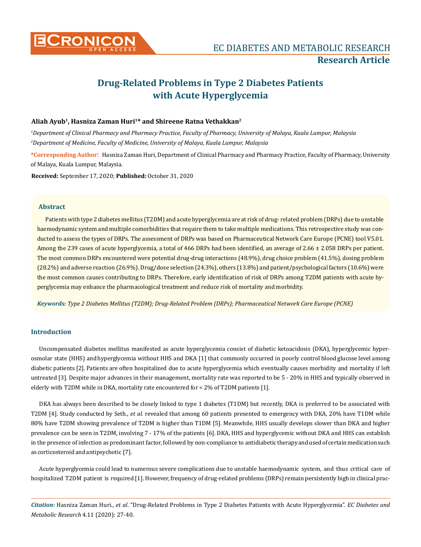

# **Drug-Related Problems in Type 2 Diabetes Patients with Acute Hyperglycemia**

# **Aliah Ayub1, Hasniza Zaman Huri1\* and Shireene Ratna Vethakkan2**

*1 Department of Clinical Pharmacy and Pharmacy Practice, Faculty of Pharmacy, University of Malaya, Kuala Lumpur, Malaysia 2 Department of Medicine, Faculty of Medicine, University of Malaya, Kuala Lumpur, Malaysia*

**\*Corresponding Author**: Hasniza Zaman Huri, Department of Clinical Pharmacy and Pharmacy Practice, Faculty of Pharmacy, University of Malaya, Kuala Lumpur, Malaysia.

**Received:** September 17, 2020; **Published:** October 31, 2020

## **Abstract**

Patients with type 2 diabetes mellitus (T2DM) and acute hyperglycemia are at risk of drug- related problem (DRPs) due to unstable haemodynamic system and multiple comorbidities that require them to take multiple medications. This retrospective study was conducted to assess the types of DRPs. The assessment of DRPs was based on Pharmaceutical Network Care Europe (PCNE) tool V5.01. Among the 239 cases of acute hyperglycemia, a total of 466 DRPs had been identified, an average of 2.66  $\pm$  2.058 DRPs per patient. The most common DRPs encountered were potential drug-drug interactions (48.9%), drug choice problem (41.5%), dosing problem (28.2%) and adverse reaction (26.9%). Drug/dose selection (24.3%), others (13.8%) and patient/psychological factors (10.6%) were the most common causes contributing to DRPs. Therefore, early identification of risk of DRPs among T2DM patients with acute hyperglycemia may enhance the pharmacological treatment and reduce risk of mortality and morbidity.

*Keywords: Type 2 Diabetes Mellitus (T2DM); Drug-Related Problem (DRPs); Pharmaceutical Network Care Europe (PCNE)*

# **Introduction**

Uncompensated diabetes mellitus manifested as acute hyperglycemia consist of diabetic ketoacidosis (DKA), hyperglycemic hyperosmolar state (HHS) and hyperglycemia without HHS and DKA [1] that commonly occurred in poorly control blood glucose level among diabetic patients [2]. Patients are often hospitalized due to acute hyperglycemia which eventually causes morbidity and mortality if left untreated [3]. Despite major advances in their management, mortality rate was reported to be 5 - 20% in HHS and typically observed in elderly with T2DM while in DKA, mortality rate encountered for < 2% of T2DM patients [1].

DKA has always been described to be closely linked to type 1 diabetes (T1DM) but recently, DKA is preferred to be associated with T2DM [4]. Study conducted by Seth., *et al.* revealed that among 60 patients presented to emergency with DKA, 20% have T1DM while 80% have T2DM showing prevalence of T2DM is higher than T1DM [5]. Meanwhile, HHS usually develops slower than DKA and higher prevalence can be seen in T2DM, involving 7 - 17% of the patients [6]. DKA, HHS and hyperglycemic without DKA and HHS can establish in the presence of infection as predominant factor, followed by non-compliance to antidiabetic therapy and used of certain medication such as corticosteroid and antipsychotic [7].

Acute hyperglycemia could lead to numerous severe complications due to unstable haemodynamic system, and thus critical care of hospitalized T2DM patient is required [1]. However, frequency of drug-related problems (DRPs) remain persistently high in clinical prac-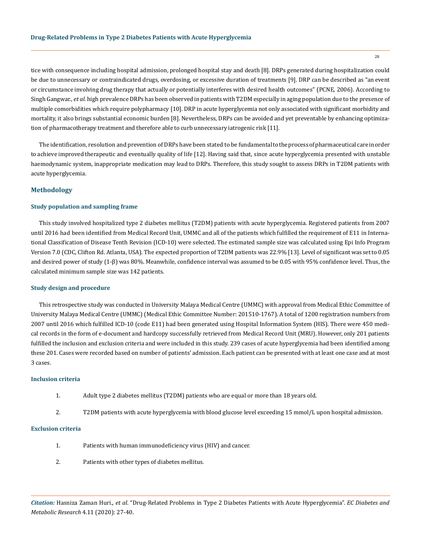tice with consequence including hospital admission, prolonged hospital stay and death [8]. DRPs generated during hospitalization could be due to unnecessary or contraindicated drugs, overdosing, or excessive duration of treatments [9]. DRP can be described as "an event or circumstance involving drug therapy that actually or potentially interferes with desired health outcomes" (PCNE, 2006). According to Singh Gangwar., *et al.* high prevalence DRPs has been observed in patients with T2DM especially in aging population due to the presence of multiple comorbidities which require polypharmacy [10]. DRP in acute hyperglycemia not only associated with significant morbidity and mortality, it also brings substantial economic burden [8]. Nevertheless, DRPs can be avoided and yet preventable by enhancing optimization of pharmacotherapy treatment and therefore able to curb unnecessary iatrogenic risk [11].

The identification, resolution and prevention of DRPs have been stated to be fundamental to the process of pharmaceutical care in order to achieve improved therapeutic and eventually quality of life [12]. Having said that, since acute hyperglycemia presented with unstable haemodynamic system, inappropriate medication may lead to DRPs. Therefore, this study sought to assess DRPs in T2DM patients with acute hyperglycemia.

## **Methodology**

## **Study population and sampling frame**

This study involved hospitalized type 2 diabetes mellitus (T2DM) patients with acute hyperglycemia. Registered patients from 2007 until 2016 had been identified from Medical Record Unit, UMMC and all of the patients which fulfilled the requirement of E11 in International Classification of Disease Tenth Revision (ICD-10) were selected. The estimated sample size was calculated using Epi Info Program Version 7.0 (CDC, Clifton Rd. Atlanta, USA). The expected proportion of T2DM patients was 22.9% [13]. Level of significant was set to 0.05 and desired power of study (1-β) was 80%. Meanwhile, confidence interval was assumed to be 0.05 with 95% confidence level. Thus, the calculated minimum sample size was 142 patients.

## **Study design and procedure**

This retrospective study was conducted in University Malaya Medical Centre (UMMC) with approval from Medical Ethic Committee of University Malaya Medical Centre (UMMC) (Medical Ethic Committee Number: 201510-1767). A total of 1200 registration numbers from 2007 until 2016 which fulfilled ICD-10 (code E11) had been generated using Hospital Information System (HIS). There were 450 medical records in the form of e-document and hardcopy successfully retrieved from Medical Record Unit (MRU). However, only 201 patients fulfilled the inclusion and exclusion criteria and were included in this study. 239 cases of acute hyperglycemia had been identified among these 201. Cases were recorded based on number of patients' admission. Each patient can be presented with at least one case and at most 3 cases.

#### **Inclusion criteria**

- 1. Adult type 2 diabetes mellitus (T2DM) patients who are equal or more than 18 years old.
- 2. T2DM patients with acute hyperglycemia with blood glucose level exceeding 15 mmol/L upon hospital admission.

#### **Exclusion criteria**

- 1. Patients with human immunodeficiency virus (HIV) and cancer.
- 2. Patients with other types of diabetes mellitus.

*Citation:* Hasniza Zaman Huri., *et al*. "Drug-Related Problems in Type 2 Diabetes Patients with Acute Hyperglycemia". *EC Diabetes and Metabolic Research* 4.11 (2020): 27-40.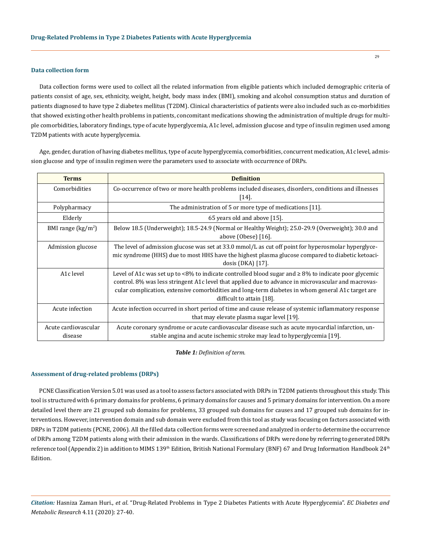## **Data collection form**

Data collection forms were used to collect all the related information from eligible patients which included demographic criteria of patients consist of age, sex, ethnicity, weight, height, body mass index (BMI), smoking and alcohol consumption status and duration of patients diagnosed to have type 2 diabetes mellitus (T2DM). Clinical characteristics of patients were also included such as co-morbidities that showed existing other health problems in patients, concomitant medications showing the administration of multiple drugs for multiple comorbidities, laboratory findings, type of acute hyperglycemia, A1c level, admission glucose and type of insulin regimen used among T2DM patients with acute hyperglycemia.

Age, gender, duration of having diabetes mellitus, type of acute hyperglycemia, comorbidities, concurrent medication, A1c level, admission glucose and type of insulin regimen were the parameters used to associate with occurrence of DRPs.

| <b>Terms</b>                            | <b>Definition</b>                                                                                                                                                                                                                                                                                                                                   |
|-----------------------------------------|-----------------------------------------------------------------------------------------------------------------------------------------------------------------------------------------------------------------------------------------------------------------------------------------------------------------------------------------------------|
| Comorbidities                           | Co-occurrence of two or more health problems included diseases, disorders, conditions and illnesses<br>$\left[14\right].$                                                                                                                                                                                                                           |
| Polypharmacy                            | The administration of 5 or more type of medications [11].                                                                                                                                                                                                                                                                                           |
| Elderly                                 | 65 years old and above [15].                                                                                                                                                                                                                                                                                                                        |
| BMI range $\left(\frac{kg}{m^2}\right)$ | Below 18.5 (Underweight); 18.5-24.9 (Normal or Healthy Weight); 25.0-29.9 (Overweight); 30.0 and<br>above $(Obese)$ [16].                                                                                                                                                                                                                           |
| Admission glucose                       | The level of admission glucose was set at 33.0 mmol/L as cut off point for hyperosmolar hyperglyce-<br>mic syndrome (HHS) due to most HHS have the highest plasma glucose compared to diabetic ketoaci-<br>dosis $(DKA)$ [17].                                                                                                                      |
| A1c level                               | Level of A1c was set up to <8% to indicate controlled blood sugar and $\geq 8\%$ to indicate poor glycemic<br>control. 8% was less stringent A1c level that applied due to advance in microvascular and macrovas-<br>cular complication, extensive comorbidities and long-term diabetes in whom general A1c target are<br>difficult to attain [18]. |
| Acute infection                         | Acute infection occurred in short period of time and cause release of systemic inflammatory response<br>that may elevate plasma sugar level [19].                                                                                                                                                                                                   |
| Acute cardiovascular<br>disease         | Acute coronary syndrome or acute cardiovascular disease such as acute myocardial infarction, un-<br>stable angina and acute ischemic stroke may lead to hyperglycemia [19].                                                                                                                                                                         |

#### *Table 1: Definition of term.*

## **Assessment of drug-related problems (DRPs)**

PCNE Classification Version 5.01 was used as a tool to assess factors associated with DRPs in T2DM patients throughout this study. This tool is structured with 6 primary domains for problems, 6 primary domains for causes and 5 primary domains for intervention. On a more detailed level there are 21 grouped sub domains for problems, 33 grouped sub domains for causes and 17 grouped sub domains for interventions. However, intervention domain and sub domain were excluded from this tool as study was focusing on factors associated with DRPs in T2DM patients (PCNE, 2006). All the filled data collection forms were screened and analyzed in order to determine the occurrence of DRPs among T2DM patients along with their admission in the wards. Classifications of DRPs were done by referring to generated DRPs reference tool (Appendix 2) in addition to MIMS 139<sup>th</sup> Edition, British National Formulary (BNF) 67 and Drug Information Handbook 24<sup>th</sup> Edition.

*Citation:* Hasniza Zaman Huri., *et al*. "Drug-Related Problems in Type 2 Diabetes Patients with Acute Hyperglycemia". *EC Diabetes and Metabolic Research* 4.11 (2020): 27-40.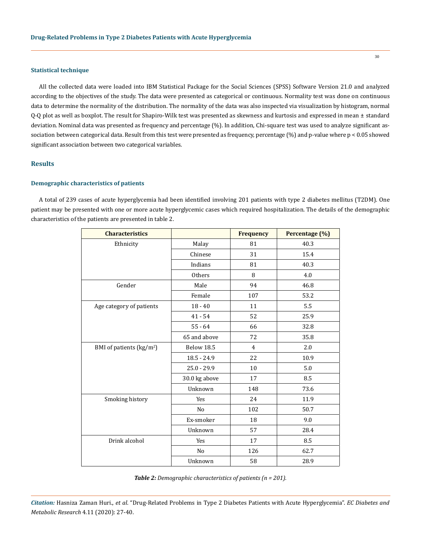# **Statistical technique**

All the collected data were loaded into IBM Statistical Package for the Social Sciences (SPSS) Software Version 21.0 and analyzed according to the objectives of the study. The data were presented as categorical or continuous. Normality test was done on continuous data to determine the normality of the distribution. The normality of the data was also inspected via visualization by histogram, normal Q-Q plot as well as boxplot. The result for Shapiro-Wilk test was presented as skewness and kurtosis and expressed in mean ± standard deviation. Nominal data was presented as frequency and percentage (%). In addition, Chi-square test was used to analyze significant association between categorical data. Result from this test were presented as frequency, percentage (%) and p-value where p < 0.05 showed significant association between two categorical variables.

## **Results**

#### **Demographic characteristics of patients**

A total of 239 cases of acute hyperglycemia had been identified involving 201 patients with type 2 diabetes mellitus (T2DM). One patient may be presented with one or more acute hyperglycemic cases which required hospitalization. The details of the demographic characteristics of the patients are presented in table 2.

| <b>Characteristics</b>               |                | <b>Frequency</b> | Percentage (%) |
|--------------------------------------|----------------|------------------|----------------|
| Ethnicity                            | Malay          | 81               | 40.3           |
|                                      | Chinese        | 31               | 15.4           |
|                                      | Indians        | 81               | 40.3           |
|                                      | Others         | 8                | 4.0            |
| Gender                               | Male           | 94               | 46.8           |
|                                      | Female         | 107              | 53.2           |
| Age category of patients             | $18 - 40$      | 11               | 5.5            |
|                                      | $41 - 54$      | 52               | 25.9           |
|                                      | $55 - 64$      | 66               | 32.8           |
|                                      | 65 and above   | 72               | 35.8           |
| BMI of patients (kg/m <sup>2</sup> ) | Below 18.5     | $\overline{4}$   | 2.0            |
|                                      | $18.5 - 24.9$  | 22               | 10.9           |
|                                      | $25.0 - 29.9$  | 10               | 5.0            |
|                                      | 30.0 kg above  | 17               | 8.5            |
|                                      | Unknown        | 148              | 73.6           |
| Smoking history                      | Yes            | 24               | 11.9           |
|                                      | N <sub>o</sub> | 102              | 50.7           |
|                                      | Ex-smoker      | 18               | 9.0            |
|                                      | Unknown        | 57               | 28.4           |
| Drink alcohol                        | Yes            | 17               | 8.5            |
|                                      | N <sub>o</sub> | 126              | 62.7           |
|                                      | Unknown        | 58               | 28.9           |

*Table 2: Demographic characteristics of patients (n = 201).*

*Citation:* Hasniza Zaman Huri., *et al*. "Drug-Related Problems in Type 2 Diabetes Patients with Acute Hyperglycemia". *EC Diabetes and Metabolic Research* 4.11 (2020): 27-40.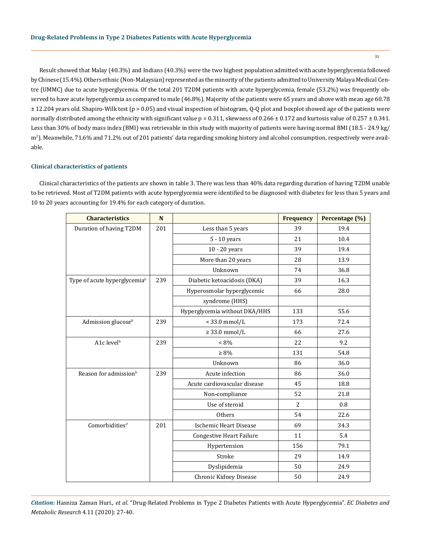Result showed that Malay (40.3%) and Indians (40.3%) were the two highest population admitted with acute hyperglycemia followed by Chinese (15.4%). Others ethnic (Non-Malaysian) represented as the minority of the patients admitted to University Malaya Medical Centre (UMMC) due to acute hyperglycemia. Of the total 201 T2DM patients with acute hyperglycemia, female (53.2%) was frequently observed to have acute hyperglycemia as compared to male (46.8%). Majority of the patients were 65 years and above with mean age 60.78 ± 12.204 years old. Shapiro-Wilk test (p > 0.05) and visual inspection of histogram, Q-Q plot and boxplot showed age of the patients were normally distributed among the ethnicity with significant value  $p = 0.311$ , skewness of  $0.266 \pm 0.172$  and kurtosis value of  $0.257 \pm 0.341$ . Less than 30% of body mass index (BMI) was retrievable in this study with majority of patients were having normal BMI (18.5 - 24.9 kg/ m2 ). Meanwhile, 71.6% and 71.2% out of 201 patients' data regarding smoking history and alcohol consumption, respectively were available.

## **Clinical characteristics of patients**

Clinical characteristics of the patients are shown in table 3. There was less than 40% data regarding duration of having T2DM unable to be retrieved. Most of T2DM patients with acute hyperglycemia were identified to be diagnosed with diabetes for less than 5 years and 10 to 20 years accounting for 19.4% for each category of duration.

| <b>Characteristics</b>                   | N   |                                 | <b>Frequency</b> | Percentage (%) |
|------------------------------------------|-----|---------------------------------|------------------|----------------|
| Duration of having T2DM                  | 201 | Less than 5 years               | 39               | 19.4           |
|                                          |     | 5 - 10 years                    | 21               | 10.4           |
|                                          |     | $10 - 20$ years                 | 39               | 19.4           |
|                                          |     | More than 20 years              | 28               | 13.9           |
|                                          |     | Unknown                         | 74               | 36.8           |
| Type of acute hyperglycemia <sup>b</sup> | 239 | Diabetic ketoacidosis (DKA)     | 39               | 16.3           |
|                                          |     | Hyperosmolar hyperglycemic      | 66               | 28.0           |
|                                          |     | syndrome (HHS)                  |                  |                |
|                                          |     | Hyperglycemia without DKA/HHS   | 133              | 55.6           |
| Admission glucose <sup>b</sup>           | 239 | $<$ 33.0 mmol/L                 | 173              | 72.4           |
|                                          |     | $\geq$ 33.0 mmol/L              | 66               | 27.6           |
| A1c level <sup>b</sup>                   | 239 | $< 8\%$                         | 22               | 9.2            |
|                                          |     | $\geq 8\%$                      | 131              | 54.8           |
|                                          |     | Unknown                         | 86               | 36.0           |
| Reason for admission <sup>b</sup>        | 239 | Acute infection                 | 86               | 36.0           |
|                                          |     | Acute cardiovascular disease    | 45               | 18.8           |
|                                          |     | Non-compliance                  | 52               | 21.8           |
|                                          |     | Use of steroid                  | $\overline{2}$   | 0.8            |
|                                          |     | Others                          | 54               | 22.6           |
| Comorbidities <sup>®</sup>               | 201 | <b>Ischemic Heart Disease</b>   | 69               | 34.3           |
|                                          |     | <b>Congestive Heart Failure</b> | 11               | 5.4            |
|                                          |     | Hypertension                    | 156              | 79.1           |
|                                          |     | Stroke                          | 29               | 14.9           |
|                                          |     | Dyslipidemia                    | 50               | 24.9           |
|                                          |     | <b>Chronic Kidney Disease</b>   | 50               | 24.9           |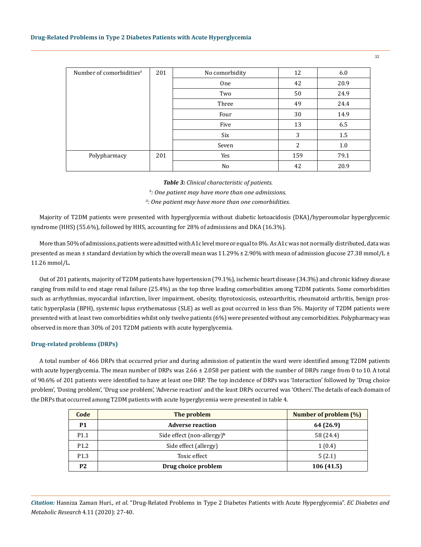| Number of comorbidities <sup><math>\partial</math></sup> | 201 | No comorbidity | 12  | 6.0  |
|----------------------------------------------------------|-----|----------------|-----|------|
|                                                          |     | One            | 42  | 20.9 |
|                                                          |     | Two            | 50  | 24.9 |
|                                                          |     | Three          | 49  | 24.4 |
|                                                          |     | Four           | 30  | 14.9 |
|                                                          |     | Five           | 13  | 6.5  |
|                                                          |     | Six            | 3   | 1.5  |
|                                                          |     | Seven          | 2   | 1.0  |
| Polypharmacy                                             | 201 | Yes            | 159 | 79.1 |
|                                                          |     | No             | 42  | 20.9 |

*Table 3: Clinical characteristic of patients.*

*b : One patient may have more than one admissions.*

*∂ : One patient may have more than one comorbidities.*

Majority of T2DM patients were presented with hyperglycemia without diabetic ketoacidosis (DKA)/hyperosmolar hyperglycemic syndrome (HHS) (55.6%), followed by HHS, accounting for 28% of admissions and DKA (16.3%).

More than 50% of admissions, patients were admitted with A1c level more or equal to 8%. As A1c was not normally distributed, data was presented as mean  $\pm$  standard deviation by which the overall mean was 11.29%  $\pm$  2.90% with mean of admission glucose 27.38 mmol/L  $\pm$ 11.26 mmol/L.

Out of 201 patients, majority of T2DM patients have hypertension (79.1%), ischemic heart disease (34.3%) and chronic kidney disease ranging from mild to end stage renal failure (25.4%) as the top three leading comorbidities among T2DM patients. Some comorbidities such as arrhythmias, myocardial infarction, liver impairment, obesity, thyrotoxicosis, osteoarthritis, rheumatoid arthritis, benign prostatic hyperplasia (BPH), systemic lupus erythematosus (SLE) as well as gout occurred in less than 5%. Majority of T2DM patients were presented with at least two comorbidities whilst only twelve patients (6%) were presented without any comorbidities. Polypharmacy was observed in more than 30% of 201 T2DM patients with acute hyperglycemia.

#### **Drug-related problems (DRPs)**

A total number of 466 DRPs that occurred prior and during admission of patientin the ward were identified among T2DM patients with acute hyperglycemia. The mean number of DRPs was  $2.66 \pm 2.058$  per patient with the number of DRPs range from 0 to 10. A total of 90.6% of 201 patients were identified to have at least one DRP. The top incidence of DRPs was 'Interaction' followed by 'Drug choice problem', 'Dosing problem', 'Drug use problem', 'Adverse reaction' and the least DRPs occurred was 'Others'. The details of each domain of the DRPs that occurred among T2DM patients with acute hyperglycemia were presented in table 4.

| Code             | The problem                            | Number of problem (%) |
|------------------|----------------------------------------|-----------------------|
| <b>P1</b>        | <b>Adverse reaction</b>                | 64 (26.9)             |
| P <sub>1.1</sub> | Side effect (non-allergy) $\mathbf{b}$ | 58 (24.4)             |
| P <sub>1.2</sub> | Side effect (allergy)                  | 1(0.4)                |
| P <sub>1.3</sub> | Toxic effect                           | 5(2.1)                |
| <b>P2</b>        | Drug choice problem                    | 106(41.5)             |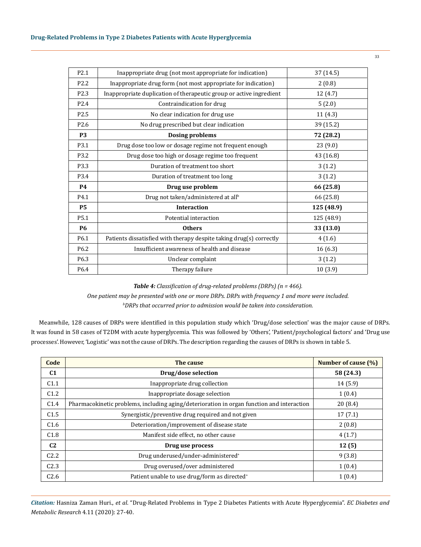| P <sub>2.1</sub> | Inappropriate drug (not most appropriate for indication)            | 37 (14.5)  |
|------------------|---------------------------------------------------------------------|------------|
| P <sub>2.2</sub> | Inappropriate drug form (not most appropriate for indication)       | 2(0.8)     |
| P <sub>2.3</sub> | Inappropriate duplication of therapeutic group or active ingredient | 12 (4.7)   |
| P <sub>2.4</sub> | Contraindication for drug                                           | 5(2.0)     |
| P <sub>2.5</sub> | No clear indication for drug use                                    | 11(4.3)    |
| P <sub>2.6</sub> | No drug prescribed but clear indication                             | 39 (15.2)  |
| <b>P3</b>        | <b>Dosing problems</b>                                              | 72 (28.2)  |
| P3.1             | Drug dose too low or dosage regime not frequent enough              | 23(9.0)    |
| P3.2             | Drug dose too high or dosage regime too frequent                    | 43 (16.8)  |
| P3.3             | Duration of treatment too short                                     | 3(1.2)     |
| P3.4             | Duration of treatment too long                                      | 3(1.2)     |
| <b>P4</b>        | Drug use problem                                                    | 66 (25.8)  |
| P4.1             | Drug not taken/administered at all <sup>b</sup>                     | 66 (25.8)  |
| <b>P5</b>        | <b>Interaction</b>                                                  | 125 (48.9) |
| P <sub>5.1</sub> | Potential interaction                                               | 125 (48.9) |
| <b>P6</b>        | <b>Others</b>                                                       | 33 (13.0)  |
| P6.1             | Patients dissatisfied with therapy despite taking drug(s) correctly | 4(1.6)     |
| P <sub>6.2</sub> | Insufficient awareness of health and disease                        | 16(6.3)    |
| P <sub>6.3</sub> | Unclear complaint                                                   | 3(1.2)     |
| P6.4             | Therapy failure                                                     | 10(3.9)    |

*Table 4: Classification of drug-related problems (DRPs) (n = 466). One patient may be presented with one or more DRPs. DRPs with frequency 1 and more were included. b DRPs that occurred prior to admission would be taken into consideration.*

Meanwhile, 128 causes of DRPs were identified in this population study which 'Drug/dose selection' was the major cause of DRPs. It was found in 58 cases of T2DM with acute hyperglycemia. This was followed by 'Others', 'Patient/psychological factors' and 'Drug use processes'. However, 'Logistic' was not the cause of DRPs. The description regarding the causes of DRPs is shown in table 5.

| Code             | The cause                                                                                 | Number of cause (%) |
|------------------|-------------------------------------------------------------------------------------------|---------------------|
| C <sub>1</sub>   | Drug/dose selection                                                                       | 58 (24.3)           |
| C1.1             | Inappropriate drug collection                                                             | 14(5.9)             |
| C <sub>1.2</sub> | Inappropriate dosage selection                                                            | 1(0.4)              |
| C <sub>1.4</sub> | Pharmacokinetic problems, including aging/deterioration in organ function and interaction | 20(8.4)             |
| C <sub>1.5</sub> | Synergistic/preventive drug required and not given                                        | 17(7.1)             |
| C1.6             | Deterioration/improvement of disease state                                                | 2(0.8)              |
| C1.8             | Manifest side effect, no other cause                                                      | 4(1.7)              |
| C <sub>2</sub>   | Drug use process                                                                          | 12(5)               |
| C <sub>2.2</sub> | Drug underused/under-administered <sup>+</sup>                                            | 9(3.8)              |
| C <sub>2.3</sub> | Drug overused/over administered                                                           | 1(0.4)              |
| C <sub>2.6</sub> | Patient unable to use drug/form as directed <sup>+</sup>                                  | 1(0.4)              |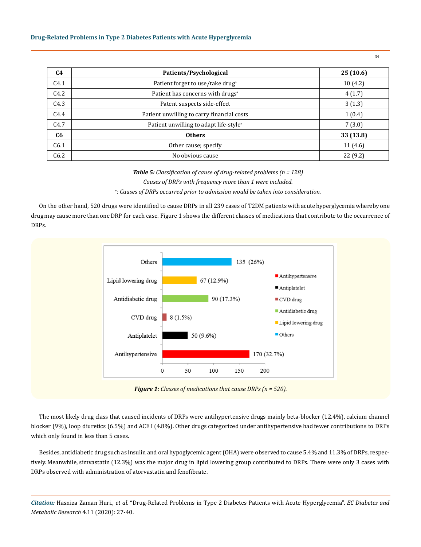## **Drug-Related Problems in Type 2 Diabetes Patients with Acute Hyperglycemia**

| C <sub>4</sub> | Patients/Psychological                             | 25(10.6)  |
|----------------|----------------------------------------------------|-----------|
| C4.1           | Patient forget to use/take drug+                   | 10(4.2)   |
| C4.2           | Patient has concerns with drugs <sup>+</sup>       | 4(1.7)    |
| C4.3           | Patent suspects side-effect                        | 3(1.3)    |
| C4.4           | Patient unwilling to carry financial costs         | 1(0.4)    |
| C4.7           | Patient unwilling to adapt life-style <sup>+</sup> | 7(3.0)    |
| C <sub>6</sub> | <b>Others</b>                                      | 33 (13.8) |
| C6.1           | Other cause; specify                               | 11(4.6)   |
| C6.2           | No obvious cause                                   | 22(9.2)   |

*Table 5: Classification of cause of drug-related problems (n = 128) Causes of DRPs with frequency more than 1 were included.*

*+ : Causes of DRPs occurred prior to admission would be taken into consideration.*

On the other hand, 520 drugs were identified to cause DRPs in all 239 cases of T2DM patients with acute hyperglycemia whereby one drug may cause more than one DRP for each case. Figure 1 shows the different classes of medications that contribute to the occurrence of DRPs.



The most likely drug class that caused incidents of DRPs were antihypertensive drugs mainly beta-blocker (12.4%), calcium channel blocker (9%), loop diuretics (6.5%) and ACE I (4.8%). Other drugs categorized under antihypertensive had fewer contributions to DRPs which only found in less than 5 cases.

Besides, antidiabetic drug such as insulin and oral hypoglycemic agent (OHA) were observed to cause 5.4% and 11.3% of DRPs, respectively. Meanwhile, simvastatin (12.3%) was the major drug in lipid lowering group contributed to DRPs. There were only 3 cases with DRPs observed with administration of atorvastatin and fenofibrate.

*Citation:* Hasniza Zaman Huri., *et al*. "Drug-Related Problems in Type 2 Diabetes Patients with Acute Hyperglycemia". *EC Diabetes and Metabolic Research* 4.11 (2020): 27-40.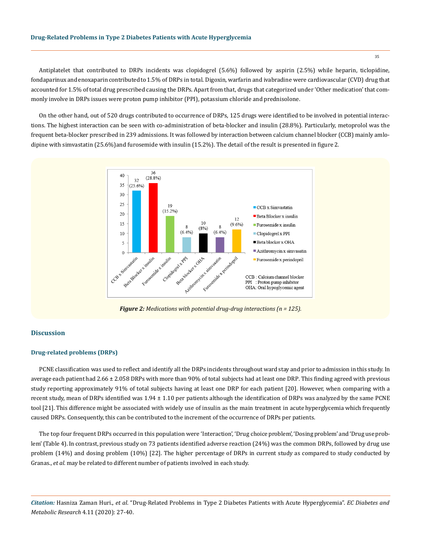Antiplatelet that contributed to DRPs incidents was clopidogrel (5.6%) followed by aspirin (2.5%) while heparin, ticlopidine, fondaparinux and enoxaparin contributed to 1.5% of DRPs in total. Digoxin, warfarin and ivabradine were cardiovascular (CVD) drug that accounted for 1.5% of total drug prescribed causing the DRPs. Apart from that, drugs that categorized under 'Other medication' that commonly involve in DRPs issues were proton pump inhibitor (PPI), potassium chloride and prednisolone.

On the other hand, out of 520 drugs contributed to occurrence of DRPs, 125 drugs were identified to be involved in potential interactions. The highest interaction can be seen with co-administration of beta-blocker and insulin (28.8%). Particularly, metoprolol was the frequent beta-blocker prescribed in 239 admissions. It was followed by interaction between calcium channel blocker (CCB) mainly amlodipine with simvastatin (25.6%) and furosemide with insulin (15.2%). The detail of the result is presented in figure 2.



*Figure 2: Medications with potential drug-drug interactions (n = 125).*

#### **Discussion**

#### **Drug-related problems (DRPs)**

PCNE classification was used to reflect and identify all the DRPs incidents throughout ward stay and prior to admission in this study. In average each patient had 2.66 ± 2.058 DRPs with more than 90% of total subjects had at least one DRP. This finding agreed with previous study reporting approximately 91% of total subjects having at least one DRP for each patient [20]. However, when comparing with a recent study, mean of DRPs identified was 1.94 ± 1.10 per patients although the identification of DRPs was analyzed by the same PCNE tool [21]. This difference might be associated with widely use of insulin as the main treatment in acute hyperglycemia which frequently caused DRPs. Consequently, this can be contributed to the increment of the occurrence of DRPs per patients.

The top four frequent DRPs occurred in this population were 'Interaction', 'Drug choice problem', 'Dosing problem' and 'Drug use problem' (Table 4). In contrast, previous study on 73 patients identified adverse reaction (24%) was the common DRPs, followed by drug use problem (14%) and dosing problem (10%) [22]. The higher percentage of DRPs in current study as compared to study conducted by Granas., *et al.* may be related to different number of patients involved in each study.

*Citation:* Hasniza Zaman Huri., *et al*. "Drug-Related Problems in Type 2 Diabetes Patients with Acute Hyperglycemia". *EC Diabetes and Metabolic Research* 4.11 (2020): 27-40.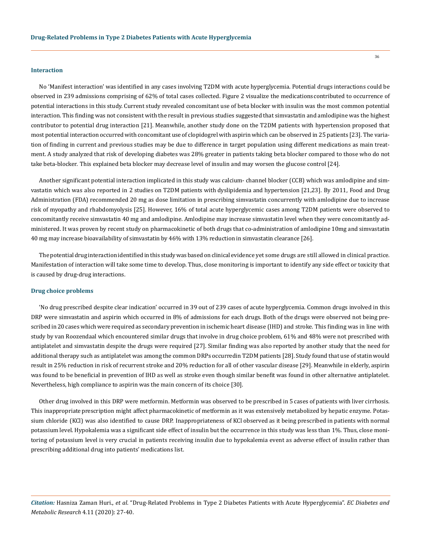#### **Interaction**

No 'Manifest interaction' was identified in any cases involving T2DM with acute hyperglycemia. Potential drugs interactions could be observed in 239 admissions comprising of 62% of total cases collected. Figure 2 visualize the medications contributed to occurrence of potential interactions in this study. Current study revealed concomitant use of beta blocker with insulin was the most common potential interaction. This finding was not consistent with the result in previous studies suggested that simvastatin and amlodipine was the highest contributor to potential drug interaction [21]. Meanwhile, another study done on the T2DM patients with hypertension proposed that most potential interaction occurred with concomitant use of clopidogrel with aspirin which can be observed in 25 patients [23]. The variation of finding in current and previous studies may be due to difference in target population using different medications as main treatment. A study analyzed that risk of developing diabetes was 28% greater in patients taking beta blocker compared to those who do not take beta-blocker. This explained beta blocker may decrease level of insulin and may worsen the glucose control [24].

Another significant potential interaction implicated in this study was calcium- channel blocker (CCB) which was amlodipine and simvastatin which was also reported in 2 studies on T2DM patients with dyslipidemia and hypertension [21,23]. By 2011, Food and Drug Administration (FDA) recommended 20 mg as dose limitation in prescribing simvastatin concurrently with amlodipine due to increase risk of myopathy and rhabdomyolysis [25]. However, 16% of total acute hyperglycemic cases among T2DM patients were observed to concomitantly receive simvastatin 40 mg and amlodipine. Amlodipine may increase simvastatin level when they were concomitantly administered. It was proven by recent study on pharmacokinetic of both drugs that co-administration of amlodipine 10mg and simvastatin 40 mg may increase bioavailability of simvastatin by 46% with 13% reduction in simvastatin clearance [26].

The potential drug interaction identified in this study was based on clinical evidence yet some drugs are still allowed in clinical practice. Manifestation of interaction will take some time to develop. Thus, close monitoring is important to identify any side effect or toxicity that is caused by drug-drug interactions.

#### **Drug choice problems**

'No drug prescribed despite clear indication' occurred in 39 out of 239 cases of acute hyperglycemia. Common drugs involved in this DRP were simvastatin and aspirin which occurred in 8% of admissions for each drugs. Both of the drugs were observed not being prescribed in 20 cases which were required as secondary prevention in ischemic heart disease (IHD) and stroke. This finding was in line with study by van Roozendaal which encountered similar drugs that involve in drug choice problem, 61% and 48% were not prescribed with antiplatelet and simvastatin despite the drugs were required [27]. Similar finding was also reported by another study that the need for additional therapy such as antiplatelet was among the common DRPs occurred in T2DM patients [28]. Study found that use of statin would result in 25% reduction in risk of recurrent stroke and 20% reduction for all of other vascular disease [29]. Meanwhile in elderly, aspirin was found to be beneficial in prevention of IHD as well as stroke even though similar benefit was found in other alternative antiplatelet. Nevertheless, high compliance to aspirin was the main concern of its choice [30].

Other drug involved in this DRP were metformin. Metformin was observed to be prescribed in 5 cases of patients with liver cirrhosis. This inappropriate prescription might affect pharmacokinetic of metformin as it was extensively metabolized by hepatic enzyme. Potassium chloride (KCl) was also identified to cause DRP. Inappropriateness of KCl observed as it being prescribed in patients with normal potassium level. Hypokalemia was a significant side effect of insulin but the occurrence in this study was less than 1%. Thus, close monitoring of potassium level is very crucial in patients receiving insulin due to hypokalemia event as adverse effect of insulin rather than prescribing additional drug into patients' medications list.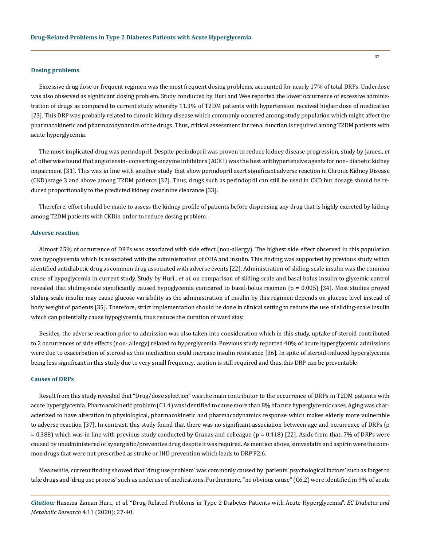#### **Dosing problems**

Excessive drug dose or frequent regimen was the most frequent dosing problems, accounted for nearly 17% of total DRPs. Underdose was also observed as significant dosing problem. Study conducted by Huri and Wee reported the lower occurrence of excessive administration of drugs as compared to current study whereby 11.3% of T2DM patients with hypertension received higher dose of medication [23]. This DRP was probably related to chronic kidney disease which commonly occurred among study population which might affect the pharmacokinetic and pharmacodynamics of the drugs. Thus, critical assessment for renal function is required among T2DM patients with acute hyperglycemia.

The most implicated drug was perindopril. Despite perindopril was proven to reduce kidney disease progression, study by James., *et al.* otherwise found that angiotensin- converting-enzyme inhibitors (ACE I) was the best antihypertensive agents for non- diabetic kidney impairment [31]. This was in line with another study that show perindopril exert significant adverse reaction in Chronic Kidney Disease (CKD) stage 3 and above among T2DM patients [32]. Thus, drugs such as perindopril can still be used in CKD but dosage should be reduced proportionally to the predicted kidney creatinine clearance [33].

Therefore, effort should be made to assess the kidney profile of patients before dispensing any drug that is highly excreted by kidney among T2DM patients with CKD in order to reduce dosing problem.

#### **Adverse reaction**

Almost 25% of occurrence of DRPs was associated with side effect (non-allergy). The highest side effect observed in this population was hypoglycemia which is associated with the administration of OHA and insulin. This finding was supported by previous study which identified antidiabetic drug as common drug associated with adverse events [22]. Administration of sliding-scale insulin was the common cause of hypoglycemia in current study. Study by Huri., *et al.* on comparison of sliding-scale and basal bolus insulin to glycemic control revealed that sliding-scale significantly caused hypoglycemia compared to basal-bolus regimen ( $p = 0.005$ ) [34]. Most studies proved sliding-scale insulin may cause glucose variability as the administration of insulin by this regimen depends on glucose level instead of body weight of patients [35]. Therefore, strict implementation should be done in clinical setting to reduce the use of sliding-scale insulin which can potentially cause hypoglycemia, thus reduce the duration of ward stay.

Besides, the adverse reaction prior to admission was also taken into consideration which in this study, uptake of steroid contributed to 2 occurrences of side effects (non- allergy) related to hyperglycemia. Previous study reported 40% of acute hyperglycemic admissions were due to exacerbation of steroid as this medication could increase insulin resistance [36]. In spite of steroid-induced hyperglycemia being less significant in this study due to very small frequency, caution is still required and thus, this DRP can be preventable.

## **Causes of DRPs**

Result from this study revealed that "Drug/dose selection" was the main contributor to the occurrence of DRPs in T2DM patients with acute hyperglycemia. Pharmacokinetic problem (C1.4) was identified to cause more than 8% of acute hyperglycemic cases. Aging was characterized to have alteration in physiological, pharmacokinetic and pharmacodynamics response which makes elderly more vulnerable to adverse reaction [37]. In contrast, this study found that there was no significant association between age and occurrence of DRPs (p  $= 0.388$ ) which was in line with previous study conducted by Granas and colleague ( $p = 0.418$ ) [22]. Aside from that, 7% of DRPs were caused by unadministered of synergistic/preventive drug despite it was required. As mention above, simvastatin and aspirin were the common drugs that were not prescribed as stroke or IHD prevention which leads to DRP P2.6.

Meanwhile, current finding showed that 'drug use problem' was commonly caused by 'patients' psychological factors' such as forget to take drugs and 'drug use process' such as underuse of medications. Furthermore, "no obvious cause" (C6.2) were identified in 9% of acute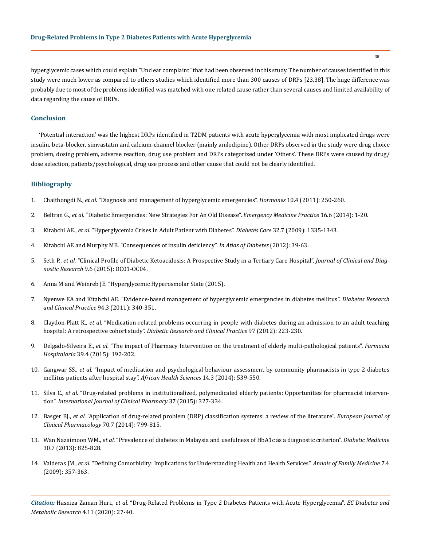hyperglycemic cases which could explain "Unclear complaint" that had been observed in this study. The number of causes identified in this study were much lower as compared to others studies which identified more than 300 causes of DRPs [23,38]. The huge difference was probably due to most of the problems identified was matched with one related cause rather than several causes and limited availability of data regarding the cause of DRPs.

## **Conclusion**

'Potential interaction' was the highest DRPs identified in T2DM patients with acute hyperglycemia with most implicated drugs were insulin, beta-blocker, simvastatin and calcium-channel blocker (mainly amlodipine). Other DRPs observed in the study were drug choice problem, dosing problem, adverse reaction, drug use problem and DRPs categorized under 'Others'. These DRPs were caused by drug/ dose selection, patients/psychological, drug use process and other cause that could not be clearly identified.

# **Bibliography**

- 1. Chaithongdi N., *et al.* ["Diagnosis and management of hyperglycemic emergencies".](https://pubmed.ncbi.nlm.nih.gov/22281881/) *Hormones* 10.4 (2011): 250-260.
- 2. Beltran G., *et al.* ["Diabetic Emergencies: New Strategies For An Old Disease".](https://pubmed.ncbi.nlm.nih.gov/25299033/) *Emergency Medicine Practice* 16.6 (2014): 1-20.
- 3. Kitabchi AE., *et al.* ["Hyperglycemia Crises in Adult Patient with Diabetes".](https://care.diabetesjournals.org/content/32/7/1335) *Diabetes Care* 32.7 (2009): 1335-1343.
- 4. [Kitabchi AE and Murphy MB. "Consequences of insulin deficiency".](https://www.openanesthesia.org/insulin-deficiency-phys-effects/) *In Atlas of Diabetes* (2012): 39-63.
- 5. Seth P., *et al.* ["Clinical Profile of Diabetic Ketoacidosis: A Prospective Study in a Tertiary Care Hospital".](https://www.ncbi.nlm.nih.gov/pmc/articles/PMC4525534/) *Journal of Clinical and Diagnostic Research* [9.6 \(2015\): OC01-OC04.](https://www.ncbi.nlm.nih.gov/pmc/articles/PMC4525534/)
- 6. [Anna M and Weinreb JE. "Hyperglycemic Hyperosmolar State \(2015\).](https://pubmed.ncbi.nlm.nih.gov/25905210/)
- 7. [Nyenwe EA and Kitabchi AE. "Evidence-based management of hyperglycemic emergencies in diabetes mellitus".](https://pubmed.ncbi.nlm.nih.gov/21978840/) *Diabetes Research [and Clinical Practice](https://pubmed.ncbi.nlm.nih.gov/21978840/)* 94.3 (2011): 340-351.
- 8. Claydon-Platt K., *et al.* ["Medication-related problems occurring in people with diabetes during an admission to an adult teaching](https://pubmed.ncbi.nlm.nih.gov/22541634/) hospital: A retrospective cohort study*[". Diabetic Research and Clinical](https://pubmed.ncbi.nlm.nih.gov/22541634/) Practice* 97 (2012): 223-230.
- 9. Delgado-Silveira E., *et al.* ["The impact of Pharmacy Intervention on the treatment of elderly multi-pathological patients".](https://pubmed.ncbi.nlm.nih.gov/26276737/) *Farmacia Hospitalaria* [39.4 \(2015\): 192-202.](https://pubmed.ncbi.nlm.nih.gov/26276737/)
- 10. Gangwar SS., *et al.* ["Impact of medication and psychological behaviour assessment by community pharmacists in type 2 diabetes](https://pubmed.ncbi.nlm.nih.gov/25352870/) [mellitus patients after hospital stay".](https://pubmed.ncbi.nlm.nih.gov/25352870/) *African Health Sciences* 14.3 (2014): 539-550.
- 11. Silva C., *et al.* ["Drug-related problems in institutionalized, polymedicated elderly patients: Opportunities for pharmacist interven](https://pubmed.ncbi.nlm.nih.gov/25637404/)tion". *[International Journal of Clinical Pharmacy](https://pubmed.ncbi.nlm.nih.gov/25637404/)* 37 (2015): 327-334.
- 12. Basger BJ., *et al.* ["Application of drug-related problem \(DRP\) classification systems: a review of the literature".](https://pubmed.ncbi.nlm.nih.gov/24789053/) *European Journal of [Clinical Pharmacology](https://pubmed.ncbi.nlm.nih.gov/24789053/)* 70.7 (2014): 799-815.
- 13. Wan Nazaimoon WM., *et al.* ["Prevalence of diabetes in Malaysia and usefulness of HbA1c as a diagnostic criterion".](https://pubmed.ncbi.nlm.nih.gov/23413941/) *Diabetic Medicine* [30.7 \(2013\): 825-828.](https://pubmed.ncbi.nlm.nih.gov/23413941/)
- 14. Valderas JM., *et al.* ["Defining Comorbidity: Implications for Understanding Health and Health Services".](https://www.ncbi.nlm.nih.gov/pmc/articles/PMC2713155/) *Annals of Family Medicine* 7.4 [\(2009\): 357-363.](https://www.ncbi.nlm.nih.gov/pmc/articles/PMC2713155/)

*Citation:* Hasniza Zaman Huri., *et al*. "Drug-Related Problems in Type 2 Diabetes Patients with Acute Hyperglycemia". *EC Diabetes and Metabolic Research* 4.11 (2020): 27-40.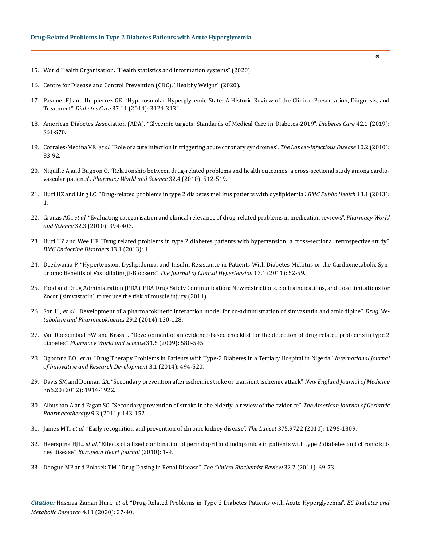- 15. [World Health Organisation. "Health statistics and information systems" \(2020\).](https://www.who.int/healthinfo/en/)
- 16. Centre for Disease and Control Prevention (CDC). "Healthy Weight" (2020).
- 17. [Pasquel FJ and Umpierrez GE. "Hyperosmolar Hyperglycemic State: A Historic Review of the Clinical Presentation, Diagnosis, and](https://pubmed.ncbi.nlm.nih.gov/25342831/)  Treatment". *Diabetes Care* [37.11 \(2014\): 3124-3131.](https://pubmed.ncbi.nlm.nih.gov/25342831/)
- 18. [American Diabetes Association \(ADA\). "Glycemic targets: Standards of Medical Care in Diabetes-2019".](https://care.diabetesjournals.org/content/42/Supplement_1/S61) *Diabetes Care* 42.1 (2019): [S61-S70.](https://care.diabetesjournals.org/content/42/Supplement_1/S61)
- 19. Corrales-Medina VF., *et al.* ["Role of acute infection in triggering acute coronary syndromes".](https://pubmed.ncbi.nlm.nih.gov/20113977/) *The Lancet-Infectious Disease* 10.2 (2010): [83-92.](https://pubmed.ncbi.nlm.nih.gov/20113977/)
- 20. [Niquille A and Bugnon O. "Relationship between drug-related problems and health outcomes: a cross-sectional study among cardio](https://pubmed.ncbi.nlm.nih.gov/20526741/)vascular patients". *[Pharmacy World and Science](https://pubmed.ncbi.nlm.nih.gov/20526741/)* 32.4 (2010): 512-519.
- 21. [Huri HZ and Ling LC. "Drug-related problems in type 2 diabetes mellitus patients with dyslipidemia".](https://pubmed.ncbi.nlm.nih.gov/24341672/) *BMC Public Health* 13.1 (2013): [1.](https://pubmed.ncbi.nlm.nih.gov/24341672/)
- 22. Granas AG., *et al.* ["Evaluating categorisation and clinical relevance of drug-related problems in medication reviews".](https://pubmed.ncbi.nlm.nih.gov/20407926/) *Pharmacy World and Science* [32.3 \(2010\): 394-403.](https://pubmed.ncbi.nlm.nih.gov/20407926/)
- 23. [Huri HZ and Wee HF. "Drug related problems in type 2 diabetes patients with hypertension: a cross-sectional retrospective study".](https://pubmed.ncbi.nlm.nih.gov/23289895/)  *[BMC Endocrine Disorders](https://pubmed.ncbi.nlm.nih.gov/23289895/)* 13.1 (2013): 1.
- 24. [Deedwania P. "Hypertension, Dyslipidemia, and Insulin Resistance in Patients With Diabetes Mellitus or the Cardiometabolic Syn](https://pubmed.ncbi.nlm.nih.gov/21214722/)[drome: Benefits of Vasodilating β-Blockers".](https://pubmed.ncbi.nlm.nih.gov/21214722/) *The Journal of Clinical Hypertension* 13.1 (2011): 52-59.
- 25. [Food and Drug Administration \(FDA\). FDA Drug Safety Communication: New restrictions, contraindications, and dose limitations for](https://www.fda.gov/drugs/drug-safety-and-availability/fda-drug-safety-communication-new-restrictions-contraindications-and-dose-limitations-zocor)  [Zocor \(simvastatin\) to reduce the risk of muscle injury \(2011\).](https://www.fda.gov/drugs/drug-safety-and-availability/fda-drug-safety-communication-new-restrictions-contraindications-and-dose-limitations-zocor)
- 26. Son H., *et al.* ["Development of a pharmacokinetic interaction model for co-administration of simvastatin and amlodipine".](https://www.researchgate.net/publication/256076036_Development_of_a_Pharmacokinetic_Interaction_Model_for_Co-administration_of_Simvastatin_and_Amlodipine) *Drug Me[tabolism and Pharmacokinetics](https://www.researchgate.net/publication/256076036_Development_of_a_Pharmacokinetic_Interaction_Model_for_Co-administration_of_Simvastatin_and_Amlodipine)* 29.2 (2014):120-128.
- 27. [Van Roozendaal BW and Krass I. "Development of an evidence-based checklist for the detection of drug related problems in type 2](https://www.ncbi.nlm.nih.gov/pmc/articles/PMC2730442/)  diabetes". *[Pharmacy World and Science](https://www.ncbi.nlm.nih.gov/pmc/articles/PMC2730442/)* 31.5 (2009): 580-595.
- 28. Ogbonna BO., *et al.* ["Drug Therapy Problems in Patients with Type-2 Diabetes in a Tertiary Hospital in Nigeria".](https://www.researchgate.net/publication/270589398_Drug_Therapy_Problems_in_Patients_with_Type-2_Diabetes_in_a_Tertiary_Hospital_in_Nigeria) *International Journal [of Innovative and Research Development](https://www.researchgate.net/publication/270589398_Drug_Therapy_Problems_in_Patients_with_Type-2_Diabetes_in_a_Tertiary_Hospital_in_Nigeria)* 3.1 (2014): 494-520.
- 29. [Davis SM and Donnan GA. "Secondary prevention after ischemic stroke or transient ischemic attack".](https://www.nejm.org/doi/pdf/10.1056/NEJMcp1107281) *New England Journal of Medicine* [366.20 \(2012\): 1914-1922.](https://www.nejm.org/doi/pdf/10.1056/NEJMcp1107281)
- 30. [Alhusban A and Fagan SC. "Secondary prevention of stroke in the elderly: a review of the evidence".](https://pubmed.ncbi.nlm.nih.gov/21570361/) *The American Journal of Geriatric [Pharmacotherapy](https://pubmed.ncbi.nlm.nih.gov/21570361/)* 9.3 (2011): 143-152.
- 31. James MT., *et al.* ["Early recognition and prevention of chronic kidney disease".](https://pubmed.ncbi.nlm.nih.gov/20382326/) *The Lancet* 375.9722 (2010): 1296-1309.
- 32. Heerspink HJL., *et al.* ["Effects of a fixed combination of perindopril and indapamide in patients with type 2 diabetes and chronic kid](https://academic.oup.com/eurheartj/article/31/23/2888/2397966)ney disease". *[European Heart Journal](https://academic.oup.com/eurheartj/article/31/23/2888/2397966)* (2010): 1-9.
- 33. [Doogue MP and Polasek TM. "Drug Dosing in Renal Disease".](https://www.ncbi.nlm.nih.gov/pmc/articles/PMC3100283/) *The Clinical Biochemist Review* 32.2 (2011): 69-73.

*Citation:* Hasniza Zaman Huri., *et al*. "Drug-Related Problems in Type 2 Diabetes Patients with Acute Hyperglycemia". *EC Diabetes and Metabolic Research* 4.11 (2020): 27-40.